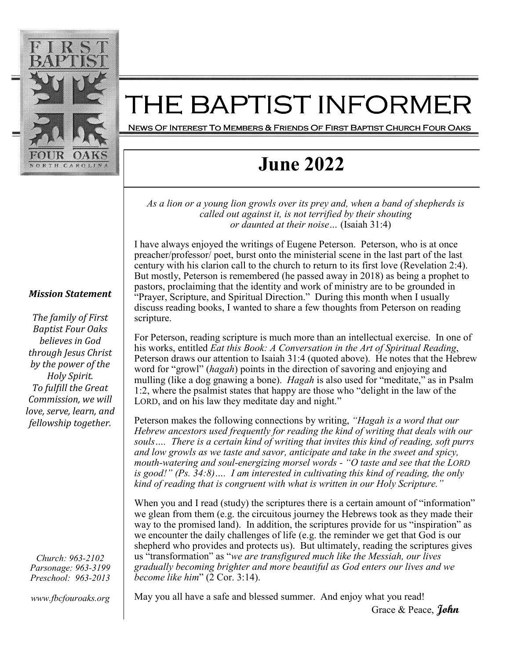

### THE BAPTIST INFORMER

News Of Interest To Members & Friends Of First Baptist Church Four Oaks

# **June 2022**

*As a lion or a young lion growls over its prey and, when a band of shepherds is called out against it, is not terrified by their shouting or daunted at their noise…* (Isaiah 31:4)

I have always enjoyed the writings of Eugene Peterson. Peterson, who is at once preacher/professor/ poet, burst onto the ministerial scene in the last part of the last century with his clarion call to the church to return to its first love (Revelation 2:4). But mostly, Peterson is remembered (he passed away in 2018) as being a prophet to pastors, proclaiming that the identity and work of ministry are to be grounded in "Prayer, Scripture, and Spiritual Direction." During this month when I usually discuss reading books, I wanted to share a few thoughts from Peterson on reading scripture.

For Peterson, reading scripture is much more than an intellectual exercise. In one of his works, entitled *Eat this Book: A Conversation in the Art of Spiritual Reading*, Peterson draws our attention to Isaiah 31:4 (quoted above). He notes that the Hebrew word for "growl" (*hagah*) points in the direction of savoring and enjoying and mulling (like a dog gnawing a bone). *Hagah* is also used for "meditate," as in Psalm 1:2, where the psalmist states that happy are those who "delight in the law of the LORD, and on his law they meditate day and night."

Peterson makes the following connections by writing, *"Hagah is a word that our Hebrew ancestors used frequently for reading the kind of writing that deals with our souls…. There is a certain kind of writing that invites this kind of reading, soft purrs and low growls as we taste and savor, anticipate and take in the sweet and spicy, mouth-watering and soul-energizing morsel words - "O taste and see that the LORD is good!" (Ps. 34:8)…. I am interested in cultivating this kind of reading, the only kind of reading that is congruent with what is written in our Holy Scripture."* 

When you and I read (study) the scriptures there is a certain amount of "information" we glean from them (e.g. the circuitous journey the Hebrews took as they made their way to the promised land). In addition, the scriptures provide for us "inspiration" as we encounter the daily challenges of life (e.g. the reminder we get that God is our shepherd who provides and protects us). But ultimately, reading the scriptures gives us "transformation" as "*we are transfigured much like the Messiah, our lives gradually becoming brighter and more beautiful as God enters our lives and we become like him*" (2 Cor. 3:14).

May you all have a safe and blessed summer. And enjoy what you read!

Grace & Peace, **John** 

#### *Mission Statement*

The family of First *Baptist Four Oaks believes in God through Jesus Christ by the power of the* **Holy Spirit.** To fulfill the Great *Commission, we will love, serve, learn, and fellowship* together.

*Church: 963-2102 Parsonage: 963-3199 Preschool: 963-2013* 

*www.fbcfouroaks.org*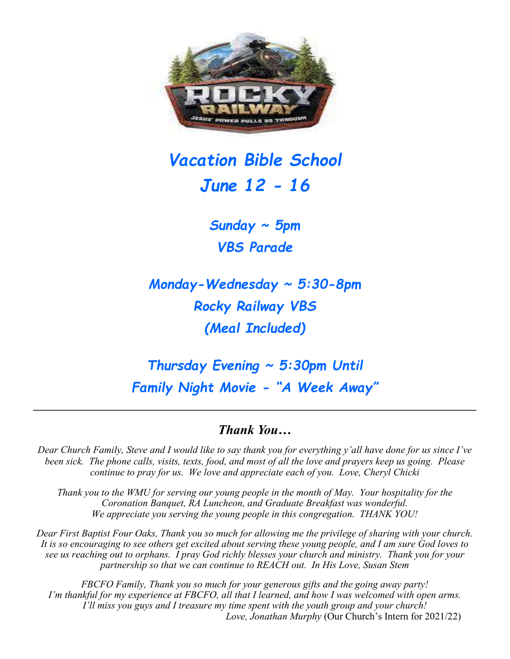

# *Vacation Bible School June 12 - 16*

*Sunday ~ 5pm VBS Parade* 

*Monday-Wednesday ~ 5:30-8pm Rocky Railway VBS (Meal Included)* 

*Thursday Evening ~ 5:30pm Until Family Night Movie - "A Week Away"* 

#### *Thank You…*

*——————————————————————————————————————*

*Dear Church Family, Steve and I would like to say thank you for everything y'all have done for us since I've been sick. The phone calls, visits, texts, food, and most of all the love and prayers keep us going. Please continue to pray for us. We love and appreciate each of you. Love, Cheryl Chicki* 

*Thank you to the WMU for serving our young people in the month of May. Your hospitality for the Coronation Banquet, RA Luncheon, and Graduate Breakfast was wonderful. We appreciate you serving the young people in this congregation. THANK YOU!* 

*Dear First Baptist Four Oaks, Thank you so much for allowing me the privilege of sharing with your church. It is so encouraging to see others get excited about serving these young people, and I am sure God loves to see us reaching out to orphans. I pray God richly blesses your church and ministry. Thank you for your partnership so that we can continue to REACH out. In His Love, Susan Stem* 

*FBCFO Family, Thank you so much for your generous gifts and the going away party! I'm thankful for my experience at FBCFO, all that I learned, and how I was welcomed with open arms. I'll miss you guys and I treasure my time spent with the youth group and your church! Love, Jonathan Murphy* (Our Church's Intern for 2021/22)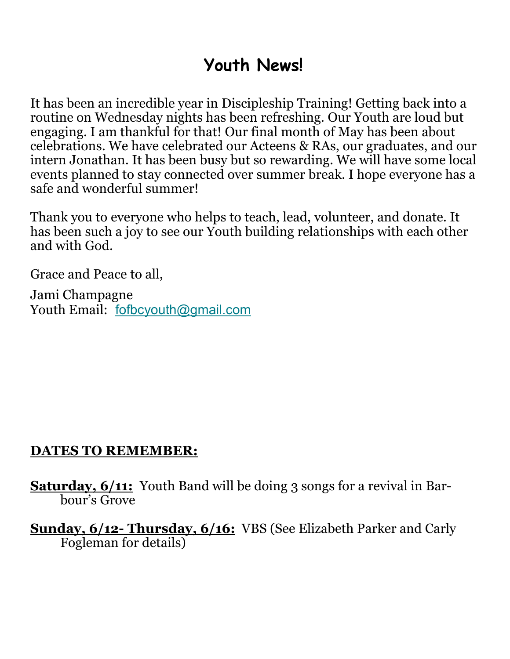# **Youth News!**

It has been an incredible year in Discipleship Training! Getting back into a routine on Wednesday nights has been refreshing. Our Youth are loud but engaging. I am thankful for that! Our final month of May has been about celebrations. We have celebrated our Acteens & RAs, our graduates, and our intern Jonathan. It has been busy but so rewarding. We will have some local events planned to stay connected over summer break. I hope everyone has a safe and wonderful summer!

Thank you to everyone who helps to teach, lead, volunteer, and donate. It has been such a joy to see our Youth building relationships with each other and with God.

Grace and Peace to all,

Jami Champagne Youth Email: fofbcyouth@gmail.com

## **DATES TO REMEMBER:**

**Saturday, 6/11:** Youth Band will be doing 3 songs for a revival in Barbour's Grove

**Sunday, 6/12- Thursday, 6/16:** VBS (See Elizabeth Parker and Carly Fogleman for details)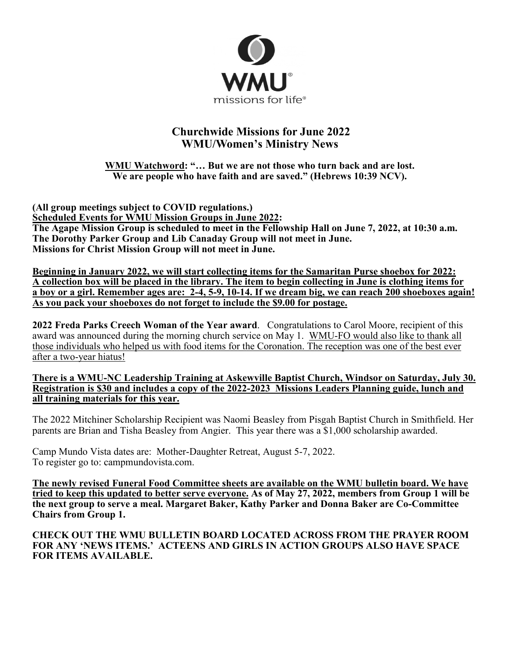

#### **Churchwide Missions for June 2022 WMU/Women's Ministry News**

**WMU Watchword: "… But we are not those who turn back and are lost. We are people who have faith and are saved." (Hebrews 10:39 NCV).** 

**(All group meetings subject to COVID regulations.) Scheduled Events for WMU Mission Groups in June 2022: The Agape Mission Group is scheduled to meet in the Fellowship Hall on June 7, 2022, at 10:30 a.m. The Dorothy Parker Group and Lib Canaday Group will not meet in June. Missions for Christ Mission Group will not meet in June.** 

**Beginning in January 2022, we will start collecting items for the Samaritan Purse shoebox for 2022: A collection box will be placed in the library. The item to begin collecting in June is clothing items for a boy or a girl. Remember ages are: 2-4, 5-9, 10-14. If we dream big, we can reach 200 shoeboxes again! As you pack your shoeboxes do not forget to include the \$9.00 for postage.** 

**2022 Freda Parks Creech Woman of the Year award**. Congratulations to Carol Moore, recipient of this award was announced during the morning church service on May 1. WMU-FO would also like to thank all those individuals who helped us with food items for the Coronation. The reception was one of the best ever after a two-year hiatus!

**There is a WMU-NC Leadership Training at Askewville Baptist Church, Windsor on Saturday, July 30. Registration is \$30 and includes a copy of the 2022-2023 Missions Leaders Planning guide, lunch and all training materials for this year.** 

The 2022 Mitchiner Scholarship Recipient was Naomi Beasley from Pisgah Baptist Church in Smithfield. Her parents are Brian and Tisha Beasley from Angier. This year there was a \$1,000 scholarship awarded.

Camp Mundo Vista dates are: Mother-Daughter Retreat, August 5-7, 2022. To register go to: campmundovista.com.

**The newly revised Funeral Food Committee sheets are available on the WMU bulletin board. We have tried to keep this updated to better serve everyone. As of May 27, 2022, members from Group 1 will be the next group to serve a meal. Margaret Baker, Kathy Parker and Donna Baker are Co-Committee Chairs from Group 1.** 

**CHECK OUT THE WMU BULLETIN BOARD LOCATED ACROSS FROM THE PRAYER ROOM FOR ANY 'NEWS ITEMS.' ACTEENS AND GIRLS IN ACTION GROUPS ALSO HAVE SPACE FOR ITEMS AVAILABLE.**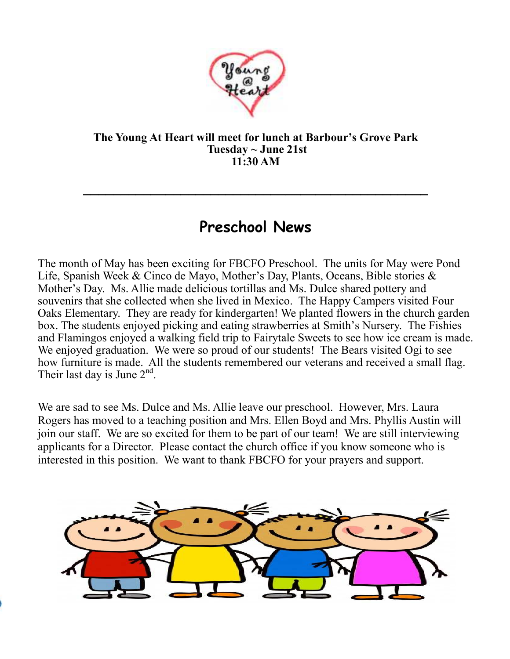

#### **The Young At Heart will meet for lunch at Barbour's Grove Park Tuesday ~ June 21st 11:30 AM**

# **Preschool News**

**\_\_\_\_\_\_\_\_\_\_\_\_\_\_\_\_\_\_\_\_\_\_\_\_\_\_\_\_\_\_\_\_\_\_\_\_\_\_\_\_\_\_\_\_\_\_** 

The month of May has been exciting for FBCFO Preschool. The units for May were Pond Life, Spanish Week & Cinco de Mayo, Mother's Day, Plants, Oceans, Bible stories & Mother's Day. Ms. Allie made delicious tortillas and Ms. Dulce shared pottery and souvenirs that she collected when she lived in Mexico. The Happy Campers visited Four Oaks Elementary. They are ready for kindergarten! We planted flowers in the church garden box. The students enjoyed picking and eating strawberries at Smith's Nursery. The Fishies and Flamingos enjoyed a walking field trip to Fairytale Sweets to see how ice cream is made. We enjoyed graduation. We were so proud of our students! The Bears visited Ogi to see how furniture is made. All the students remembered our veterans and received a small flag. Their last day is June  $2<sup>nd</sup>$ .

We are sad to see Ms. Dulce and Ms. Allie leave our preschool. However, Mrs. Laura Rogers has moved to a teaching position and Mrs. Ellen Boyd and Mrs. Phyllis Austin will join our staff. We are so excited for them to be part of our team! We are still interviewing applicants for a Director. Please contact the church office if you know someone who is interested in this position. We want to thank FBCFO for your prayers and support.

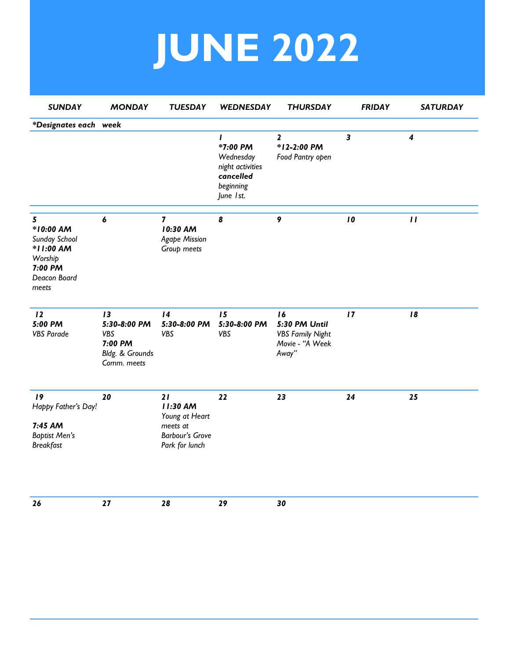# **JUNE 2022**

| <b>SUNDAY</b>                                                                               | <b>MONDAY</b>                                                          | <b>TUESDAY</b>                                                                           | WEDNESDAY                                                                                        | <b>THURSDAY</b>                                                            | <b>FRIDAY</b>           | <b>SATURDAY</b>            |
|---------------------------------------------------------------------------------------------|------------------------------------------------------------------------|------------------------------------------------------------------------------------------|--------------------------------------------------------------------------------------------------|----------------------------------------------------------------------------|-------------------------|----------------------------|
| *Designates each week                                                                       |                                                                        |                                                                                          |                                                                                                  |                                                                            |                         |                            |
|                                                                                             |                                                                        |                                                                                          | $\mathbf{I}$<br>*7:00 PM<br>Wednesday<br>night activities<br>cancelled<br>beginning<br>June 1st. | $\overline{\mathbf{2}}$<br>*12-2:00 PM<br>Food Pantry open                 | $\overline{\mathbf{3}}$ | $\boldsymbol{4}$           |
| 5<br>*10:00 AM<br>Sunday School<br>*11:00 AM<br>Worship<br>7:00 PM<br>Deacon Board<br>meets | $\pmb{6}$                                                              | $\overline{\mathbf{z}}$<br>10:30 AM<br><b>Agape Mission</b><br>Group meets               | 8                                                                                                | 9                                                                          | 10                      | $\boldsymbol{\mathsf{II}}$ |
| 12<br>5:00 PM<br><b>VBS Parade</b>                                                          | 13<br>5:30-8:00 PM<br>VBS<br>7:00 PM<br>Bldg. & Grounds<br>Comm. meets | 14<br>5:30-8:00 PM<br><b>VBS</b>                                                         | 15<br>5:30-8:00 PM<br>VBS                                                                        | 16<br>5:30 PM Until<br><b>VBS Family Night</b><br>Movie - "A Week<br>Away" | 17                      | 18                         |
| 19<br>Happy Father's Day!<br>7:45 AM<br><b>Baptist Men's</b><br><b>Breakfast</b>            | 20                                                                     | 21<br>11:30 AM<br>Young at Heart<br>meets at<br><b>Barbour's Grove</b><br>Park for lunch | 22                                                                                               | 23                                                                         | 24                      | 25                         |
| 26                                                                                          | 27                                                                     | 28                                                                                       | 29                                                                                               | 30                                                                         |                         |                            |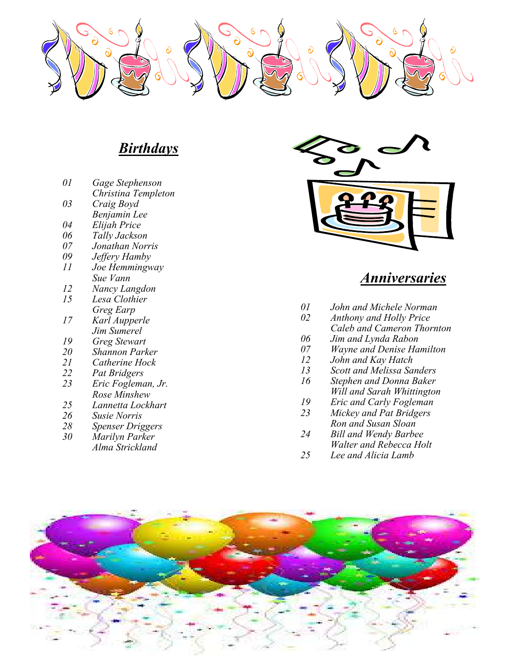

## *Birthdays*

- *01 Gage Stephenson*
- *Christina Templeton*
- $Craig Boyd$
- *Benjamin Lee*
- $E$ lijah Price  *06 Tally Jackson*
- 
- *07 Jonathan Norris*
- *09 Jeffery Hamby 11 Joe Hemmingway*
- 
- *Sue Vann 12 Nancy Langdon*
- *15 Lesa Clothier*
- *Greg Earp*   $K$ arl Aupperle
- *Jim Sumerel*
- *19 Greg Stewart*
- *20 Shannon Parker 21 Catherine Hock*
- *22 Pat Bridgers*
- *23 Eric Fogleman, Jr.*
- *Rose Minshew 25 Lannetta Lockhart*
- 
- *26 Susie Norris 28 Spenser Driggers*
- $\dot{M}$ *arilyn Parker*
- *Alma Strickland*



## *Anniversaries*

- *01 John and Michele Norman*
- *Anthony and Holly Price*
- *Caleb and Cameron Thornton*
- *06 Jim and Lynda Rabon*
- *07 Wayne and Denise Hamilton*
- *12 John and Kay Hatch*
- *13 Scott and Melissa Sanders* 
	- *Stephen and Donna Baker*
	- *Will and Sarah Whittington*
- *19 Eric and Carly Fogleman*
- *Mickey and Pat Bridgers Ron and Susan Sloan* 
	- $B$ *ill and Wendy Barbee*
- *Walter and Rebecca Holt*<br>25 Lee and Alicia Lamb
- Lee and Alicia Lamb